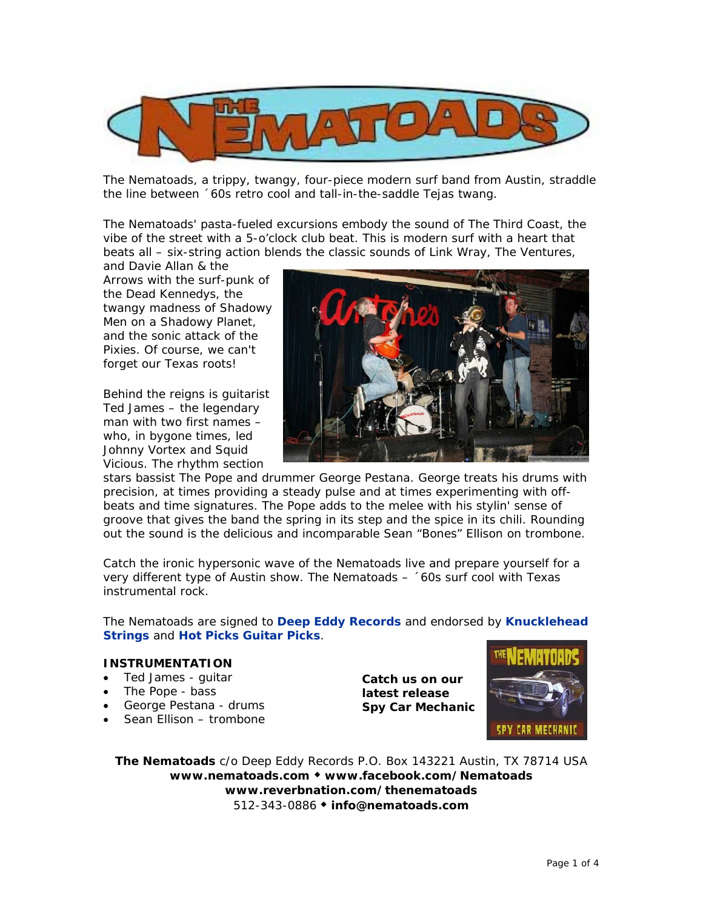

The Nematoads, a trippy, twangy, four-piece modern surf band from Austin, straddle the line between ´60s retro cool and tall-in-the-saddle Tejas twang.

The Nematoads' pasta-fueled excursions embody the sound of The Third Coast, the vibe of the street with a 5-o'clock club beat. This is modern surf with a heart that beats all – six-string action blends the classic sounds of Link Wray, The Ventures,

and Davie Allan & the Arrows with the surf-punk of the Dead Kennedys, the twangy madness of Shadowy Men on a Shadowy Planet, and the sonic attack of the Pixies. Of course, we can't forget our Texas roots!

Behind the reigns is quitarist Ted James – the legendary man with two first names – who, in bygone times, led Johnny Vortex and Squid Vicious. The rhythm section



stars bassist The Pope and drummer George Pestana. George treats his drums with precision, at times providing a steady pulse and at times experimenting with offbeats and time signatures. The Pope adds to the melee with his stylin' sense of groove that gives the band the spring in its step and the spice in its chili. Rounding out the sound is the delicious and incomparable Sean "Bones" Ellison on trombone.

Catch the ironic hypersonic wave of the Nematoads live and prepare yourself for a very different type of Austin show. The Nematoads – ´60s surf cool with Texas instrumental rock.

The Nematoads are signed to **Deep Eddy Records** and endorsed by **Knucklehead Strings** and **Hot Picks Guitar Picks**.

#### **INSTRUMENTATION**

- Ted James guitar
- The Pope bass
- George Pestana drums
- Sean Ellison trombone

**Catch us on our latest release**  *Spy Car Mechanic*



**The Nematoads** c/o Deep Eddy Records P.O. Box 143221 Austin, TX 78714 USA **www.nematoads.com www.facebook.com/Nematoads www.reverbnation.com/thenematoads** 512-343-0886 **info@nematoads.com**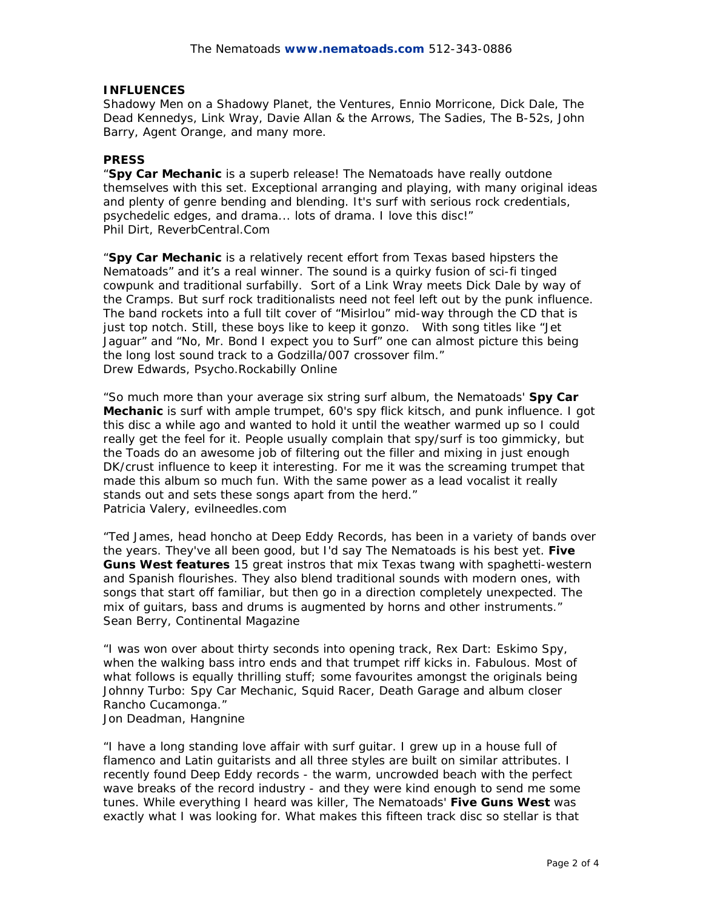# **INFLUENCES**

Shadowy Men on a Shadowy Planet, the Ventures, Ennio Morricone, Dick Dale, The Dead Kennedys, Link Wray, Davie Allan & the Arrows, The Sadies, The B-52s, John Barry, Agent Orange, and many more.

# **PRESS**

*"Spy Car Mechanic* is a superb release! The Nematoads have really outdone themselves with this set. Exceptional arranging and playing, with many original ideas and plenty of genre bending and blending. It's surf with serious rock credentials, psychedelic edges, and drama... lots of drama. I love this disc!" Phil Dirt, ReverbCentral.Com

"**Spy Car Mechanic** is a relatively recent effort from Texas based hipsters the Nematoads" and it's a real winner. The sound is a quirky fusion of sci-fi tinged cowpunk and traditional surfabilly. Sort of a Link Wray meets Dick Dale by way of the Cramps. But surf rock traditionalists need not feel left out by the punk influence. The band rockets into a full tilt cover of "Misirlou" mid-way through the CD that is just top notch. Still, these boys like to keep it gonzo. With song titles like "Jet Jaguar" and "No, Mr. Bond I expect you to Surf" one can almost picture this being the long lost sound track to a Godzilla/007 crossover film." Drew Edwards, Psycho.Rockabilly Online

"So much more than your average six string surf album, the Nematoads' *Spy Car Mechanic* is surf with ample trumpet, 60's spy flick kitsch, and punk influence. I got this disc a while ago and wanted to hold it until the weather warmed up so I could really get the feel for it. People usually complain that spy/surf is too gimmicky, but the Toads do an awesome job of filtering out the filler and mixing in just enough DK/crust influence to keep it interesting. For me it was the screaming trumpet that made this album so much fun. With the same power as a lead vocalist it really stands out and sets these songs apart from the herd." Patricia Valery, evilneedles.com

"Ted James, head honcho at Deep Eddy Records, has been in a variety of bands over the years. They've all been good, but I'd say The Nematoads is his best yet. **Five Guns West features** 15 great instros that mix Texas twang with spaghetti-western and Spanish flourishes. They also blend traditional sounds with modern ones, with songs that start off familiar, but then go in a direction completely unexpected. The mix of guitars, bass and drums is augmented by horns and other instruments." Sean Berry, Continental Magazine

"I was won over about thirty seconds into opening track, Rex Dart: Eskimo Spy, when the walking bass intro ends and that trumpet riff kicks in. Fabulous. Most of what follows is equally thrilling stuff; some favourites amongst the originals being Johnny Turbo: Spy Car Mechanic, Squid Racer, Death Garage and album closer Rancho Cucamonga."

Jon Deadman, Hangnine

"I have a long standing love affair with surf guitar. I grew up in a house full of flamenco and Latin guitarists and all three styles are built on similar attributes. I recently found Deep Eddy records - the warm, uncrowded beach with the perfect wave breaks of the record industry - and they were kind enough to send me some tunes. While everything I heard was killer, The Nematoads' **Five Guns West** was exactly what I was looking for. What makes this fifteen track disc so stellar is that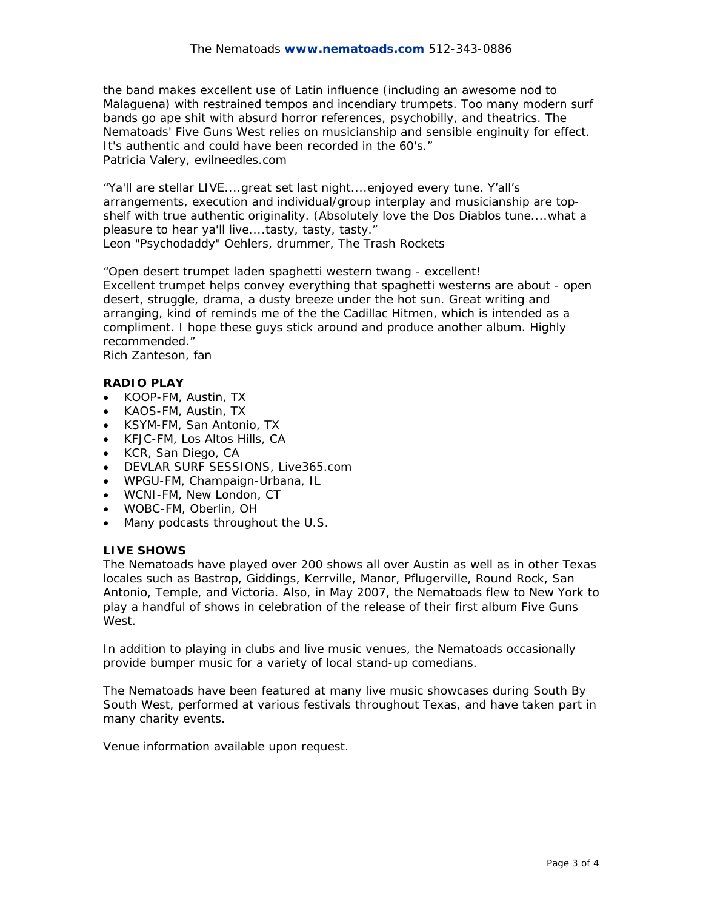the band makes excellent use of Latin influence (including an awesome nod to Malaguena) with restrained tempos and incendiary trumpets. Too many modern surf bands go ape shit with absurd horror references, psychobilly, and theatrics. The Nematoads' Five Guns West relies on musicianship and sensible enginuity for effect. It's authentic and could have been recorded in the 60's." Patricia Valery, evilneedles.com

"Ya'll are stellar LIVE....great set last night....enjoyed every tune. Y'all's arrangements, execution and individual/group interplay and musicianship are topshelf with true authentic originality. (Absolutely love the Dos Diablos tune....what a pleasure to hear ya'll live....tasty, tasty, tasty."

Leon "Psychodaddy" Oehlers, drummer, The Trash Rockets

"Open desert trumpet laden spaghetti western twang - excellent! Excellent trumpet helps convey everything that spaghetti westerns are about - open desert, struggle, drama, a dusty breeze under the hot sun. Great writing and arranging, kind of reminds me of the the Cadillac Hitmen, which is intended as a compliment. I hope these guys stick around and produce another album. Highly recommended."

Rich Zanteson, fan

# **RADIO PLAY**

- KOOP-FM, Austin, TX
- KAOS-FM, Austin, TX
- KSYM-FM, San Antonio, TX
- KFJC-FM, Los Altos Hills, CA
- KCR, San Diego, CA
- DEVLAR SURF SESSIONS, Live365.com
- WPGU-FM, Champaign-Urbana, IL
- WCNI-FM, New London, CT
- WOBC-FM, Oberlin, OH
- Many podcasts throughout the U.S.

### **LIVE SHOWS**

The Nematoads have played over 200 shows all over Austin as well as in other Texas locales such as Bastrop, Giddings, Kerrville, Manor, Pflugerville, Round Rock, San Antonio, Temple, and Victoria. Also, in May 2007, the Nematoads flew to New York to play a handful of shows in celebration of the release of their first album Five Guns West.

In addition to playing in clubs and live music venues, the Nematoads occasionally provide bumper music for a variety of local stand-up comedians.

The Nematoads have been featured at many live music showcases during South By South West, performed at various festivals throughout Texas, and have taken part in many charity events.

Venue information available upon request.